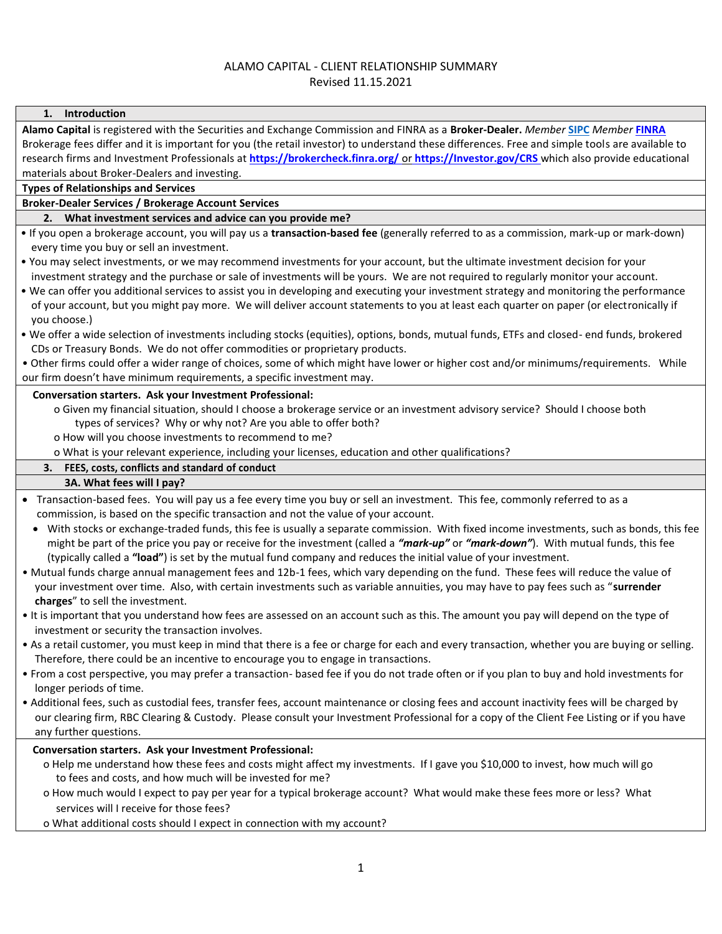## ALAMO CAPITAL - CLIENT RELATIONSHIP SUMMARY

Revised 11.15.2021

| 1. Introduction                                                                                                                                                                                                                                                                             |
|---------------------------------------------------------------------------------------------------------------------------------------------------------------------------------------------------------------------------------------------------------------------------------------------|
| Alamo Capital is registered with the Securities and Exchange Commission and FINRA as a Broker-Dealer. Member SIPC Member FINRA                                                                                                                                                              |
| Brokerage fees differ and it is important for you (the retail investor) to understand these differences. Free and simple tools are available to<br>research firms and Investment Professionals at https://brokercheck.finra.org/ or https://Investor.gov/CRS which also provide educational |
|                                                                                                                                                                                                                                                                                             |
| materials about Broker-Dealers and investing.                                                                                                                                                                                                                                               |
| <b>Types of Relationships and Services</b>                                                                                                                                                                                                                                                  |
| <b>Broker-Dealer Services / Brokerage Account Services</b>                                                                                                                                                                                                                                  |
| 2. What investment services and advice can you provide me?                                                                                                                                                                                                                                  |
| • If you open a brokerage account, you will pay us a transaction-based fee (generally referred to as a commission, mark-up or mark-down)<br>every time you buy or sell an investment.                                                                                                       |
| . You may select investments, or we may recommend investments for your account, but the ultimate investment decision for your                                                                                                                                                               |
| investment strategy and the purchase or sale of investments will be yours. We are not required to regularly monitor your account.                                                                                                                                                           |
| . We can offer you additional services to assist you in developing and executing your investment strategy and monitoring the performance                                                                                                                                                    |
| of your account, but you might pay more. We will deliver account statements to you at least each quarter on paper (or electronically if                                                                                                                                                     |
| you choose.)                                                                                                                                                                                                                                                                                |
| . We offer a wide selection of investments including stocks (equities), options, bonds, mutual funds, ETFs and closed- end funds, brokered                                                                                                                                                  |
| CDs or Treasury Bonds. We do not offer commodities or proprietary products.                                                                                                                                                                                                                 |
| . Other firms could offer a wider range of choices, some of which might have lower or higher cost and/or minimums/requirements. While                                                                                                                                                       |
| our firm doesn't have minimum requirements, a specific investment may.                                                                                                                                                                                                                      |
| Conversation starters. Ask your Investment Professional:                                                                                                                                                                                                                                    |
| o Given my financial situation, should I choose a brokerage service or an investment advisory service? Should I choose both                                                                                                                                                                 |
| types of services? Why or why not? Are you able to offer both?                                                                                                                                                                                                                              |
| o How will you choose investments to recommend to me?                                                                                                                                                                                                                                       |
| o What is your relevant experience, including your licenses, education and other qualifications?                                                                                                                                                                                            |
| 3. FEES, costs, conflicts and standard of conduct                                                                                                                                                                                                                                           |
| 3A. What fees will I pay?                                                                                                                                                                                                                                                                   |
| Transaction-based fees. You will pay us a fee every time you buy or sell an investment. This fee, commonly referred to as a<br>commission, is based on the specific transaction and not the value of your account.                                                                          |
| With stocks or exchange-traded funds, this fee is usually a separate commission. With fixed income investments, such as bonds, this fee<br>might be part of the price you pay or receive for the investment (called a "mark-up" or "mark-down"). With mutual funds, this fee                |
| (typically called a "load") is set by the mutual fund company and reduces the initial value of your investment.                                                                                                                                                                             |
| . Mutual funds charge annual management fees and 12b-1 fees, which vary depending on the fund. These fees will reduce the value of                                                                                                                                                          |
| your investment over time. Also, with certain investments such as variable annuities, you may have to pay fees such as "surrender<br>charges" to sell the investment.                                                                                                                       |
| • It is important that you understand how fees are assessed on an account such as this. The amount you pay will depend on the type of                                                                                                                                                       |
| investment or security the transaction involves.                                                                                                                                                                                                                                            |
| . As a retail customer, you must keep in mind that there is a fee or charge for each and every transaction, whether you are buying or selling.<br>Therefore, there could be an incentive to encourage you to engage in transactions.                                                        |
| • From a cost perspective, you may prefer a transaction- based fee if you do not trade often or if you plan to buy and hold investments for<br>longer periods of time.                                                                                                                      |
| • Additional fees, such as custodial fees, transfer fees, account maintenance or closing fees and account inactivity fees will be charged by                                                                                                                                                |
| our clearing firm, RBC Clearing & Custody. Please consult your Investment Professional for a copy of the Client Fee Listing or if you have                                                                                                                                                  |
| any further questions.                                                                                                                                                                                                                                                                      |
| Conversation starters. Ask your Investment Professional:                                                                                                                                                                                                                                    |
| o Help me understand how these fees and costs might affect my investments. If I gave you \$10,000 to invest, how much will go                                                                                                                                                               |
| to fees and costs, and how much will be invested for me?                                                                                                                                                                                                                                    |
| o How much would I expect to pay per year for a typical brokerage account? What would make these fees more or less? What                                                                                                                                                                    |
| services will I receive for those fees?                                                                                                                                                                                                                                                     |

o What additional costs should I expect in connection with my account?